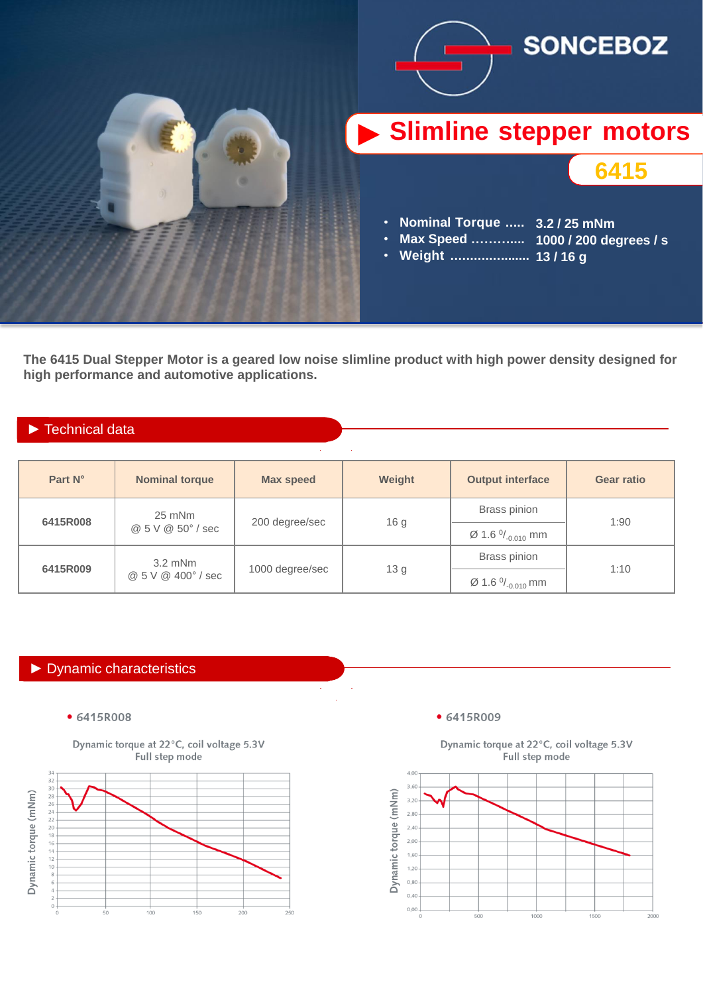

**The 6415 Dual Stepper Motor is a geared low noise slimline product with high power density designed for high performance and automotive applications.**

### ► Technical data

| Part N°  | <b>Nominal torque</b>           | <b>Max speed</b> | Weight          | <b>Output interface</b>    | <b>Gear ratio</b> |  |
|----------|---------------------------------|------------------|-----------------|----------------------------|-------------------|--|
| 6415R008 | $25$ mNm<br>@ 5 V @ 50° / sec   | 200 degree/sec   | 16 <sub>g</sub> | <b>Brass pinion</b>        | 1:90              |  |
|          |                                 |                  |                 | Ø 1.6 $\frac{0}{0.010}$ mm |                   |  |
| 6415R009 | $3.2$ mNm<br>@ 5 V @ 400° / sec | 1000 degree/sec  | 13 g            | <b>Brass pinion</b>        | 1:10              |  |
|          |                                 |                  |                 | Ø 1.6 $\%_{-0.010}$ mm     |                   |  |

### ► Dynamic characteristics

• 6415R008





### • 6415R009

Dynamic torque at 22°C, coil voltage 5.3V Full step mode

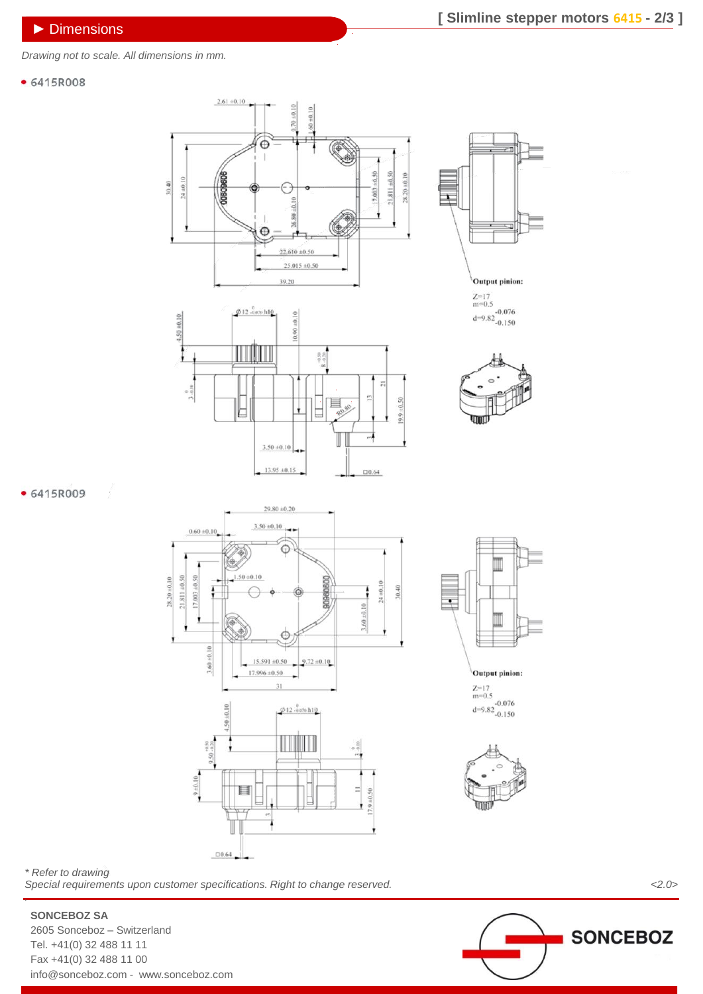*Drawing not to scale. All dimensions in mm.*

 $4.50 \pm 0.10$ 

#### • 6415R008









#### • 6415R009





**Output pinion:** 

 $Z=17$ <br>m=0.5<br>d=9.82<br>-0.150



*\* Refer to drawing Special requirements upon customer specifications. Right to change reserved. <2.0> .*



## **SONCEBOZ SA**

2605 Sonceboz – Switzerland Tel. +41(0) 32 488 11 11 Fax +41(0) 32 488 11 00 info@sonceboz.com - www.sonceboz.com